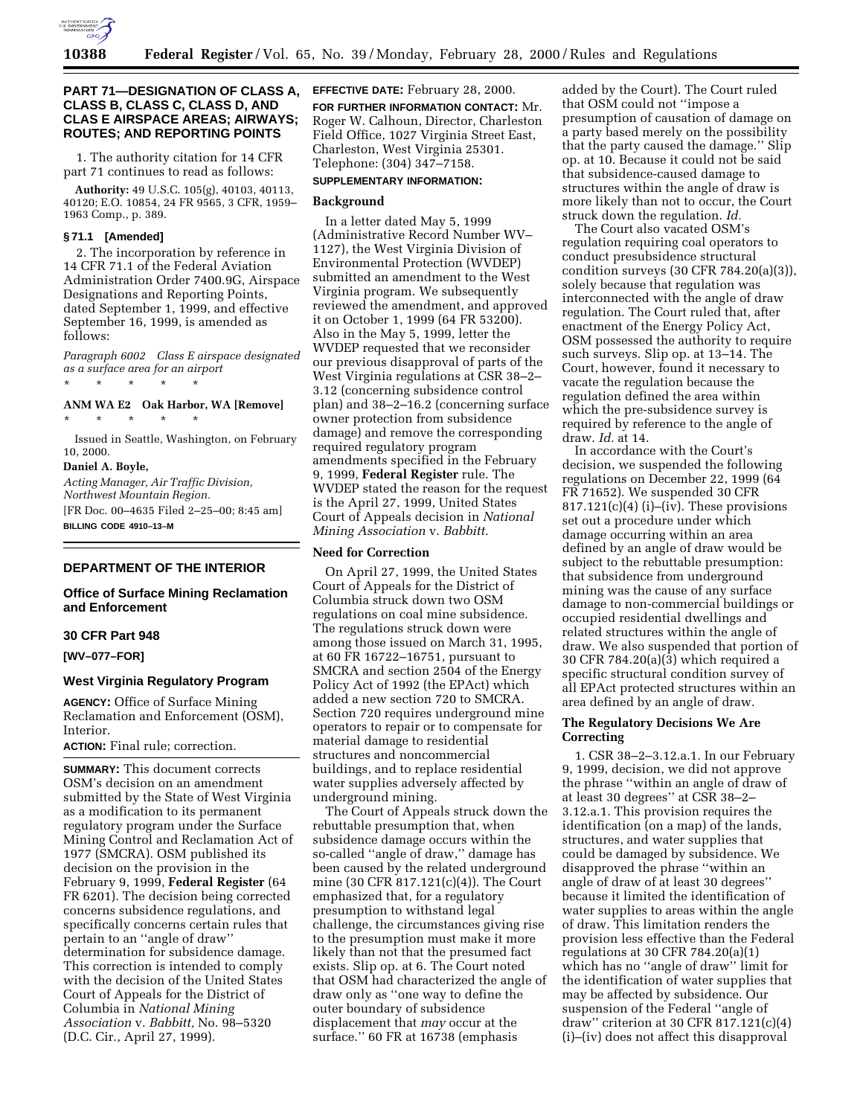

# **PART 71—DESIGNATION OF CLASS A, CLASS B, CLASS C, CLASS D, AND CLAS E AIRSPACE AREAS; AIRWAYS; ROUTES; AND REPORTING POINTS**

1. The authority citation for 14 CFR part 71 continues to read as follows:

**Authority:** 49 U.S.C. 105(g), 40103, 40113, 40120; E.O. 10854, 24 FR 9565, 3 CFR, 1959– 1963 Comp., p. 389.

#### **§ 71.1 [Amended]**

2. The incorporation by reference in 14 CFR 71.1 of the Federal Aviation Administration Order 7400.9G, Airspace Designations and Reporting Points, dated September 1, 1999, and effective September 16, 1999, is amended as follows:

*Paragraph 6002 Class E airspace designated as a surface area for an airport* \* \* \* \* \*

# **ANM WA E2 Oak Harbor, WA [Remove]** \* \* \* \* \*

Issued in Seattle, Washington, on February 10, 2000.

#### **Daniel A. Boyle,**

*Acting Manager, Air Traffic Division, Northwest Mountain Region.* [FR Doc. 00–4635 Filed 2–25–00; 8:45 am] **BILLING CODE 4910–13–M**

## **DEPARTMENT OF THE INTERIOR**

# **Office of Surface Mining Reclamation and Enforcement**

### **30 CFR Part 948**

**[WV–077–FOR]**

# **West Virginia Regulatory Program**

**AGENCY:** Office of Surface Mining Reclamation and Enforcement (OSM), Interior.

**ACTION:** Final rule; correction.

**SUMMARY:** This document corrects OSM's decision on an amendment submitted by the State of West Virginia as a modification to its permanent regulatory program under the Surface Mining Control and Reclamation Act of 1977 (SMCRA). OSM published its decision on the provision in the February 9, 1999, **Federal Register** (64 FR 6201). The decision being corrected concerns subsidence regulations, and specifically concerns certain rules that pertain to an ''angle of draw'' determination for subsidence damage. This correction is intended to comply with the decision of the United States Court of Appeals for the District of Columbia in *National Mining Association* v. *Babbitt,* No. 98–5320 (D.C. Cir., April 27, 1999).

**EFFECTIVE DATE:** February 28, 2000. **FOR FURTHER INFORMATION CONTACT:** Mr. Roger W. Calhoun, Director, Charleston Field Office, 1027 Virginia Street East, Charleston, West Virginia 25301. Telephone: (304) 347–7158.

#### **SUPPLEMENTARY INFORMATION:**

#### **Background**

In a letter dated May 5, 1999 (Administrative Record Number WV– 1127), the West Virginia Division of Environmental Protection (WVDEP) submitted an amendment to the West Virginia program. We subsequently reviewed the amendment, and approved it on October 1, 1999 (64 FR 53200). Also in the May 5, 1999, letter the WVDEP requested that we reconsider our previous disapproval of parts of the West Virginia regulations at CSR 38–2– 3.12 (concerning subsidence control plan) and 38–2–16.2 (concerning surface owner protection from subsidence damage) and remove the corresponding required regulatory program amendments specified in the February 9, 1999, **Federal Register** rule. The WVDEP stated the reason for the request is the April 27, 1999, United States Court of Appeals decision in *National Mining Association* v. *Babbitt.*

#### **Need for Correction**

On April 27, 1999, the United States Court of Appeals for the District of Columbia struck down two OSM regulations on coal mine subsidence. The regulations struck down were among those issued on March 31, 1995, at 60 FR 16722–16751, pursuant to SMCRA and section 2504 of the Energy Policy Act of 1992 (the EPAct) which added a new section 720 to SMCRA. Section 720 requires underground mine operators to repair or to compensate for material damage to residential structures and noncommercial buildings, and to replace residential water supplies adversely affected by underground mining.

The Court of Appeals struck down the rebuttable presumption that, when subsidence damage occurs within the so-called ''angle of draw,'' damage has been caused by the related underground mine (30 CFR 817.121(c)(4)). The Court emphasized that, for a regulatory presumption to withstand legal challenge, the circumstances giving rise to the presumption must make it more likely than not that the presumed fact exists. Slip op. at 6. The Court noted that OSM had characterized the angle of draw only as ''one way to define the outer boundary of subsidence displacement that *may* occur at the surface.'' 60 FR at 16738 (emphasis

added by the Court). The Court ruled that OSM could not ''impose a presumption of causation of damage on a party based merely on the possibility that the party caused the damage.'' Slip op. at 10. Because it could not be said that subsidence-caused damage to structures within the angle of draw is more likely than not to occur, the Court struck down the regulation. *Id.*

The Court also vacated OSM's regulation requiring coal operators to conduct presubsidence structural condition surveys (30 CFR 784.20(a)(3)), solely because that regulation was interconnected with the angle of draw regulation. The Court ruled that, after enactment of the Energy Policy Act, OSM possessed the authority to require such surveys. Slip op. at 13–14. The Court, however, found it necessary to vacate the regulation because the regulation defined the area within which the pre-subsidence survey is required by reference to the angle of draw. *Id.* at 14.

In accordance with the Court's decision, we suspended the following regulations on December 22, 1999 (64 FR 71652). We suspended 30 CFR  $817.121(c)(4)$  (i)–(iv). These provisions set out a procedure under which damage occurring within an area defined by an angle of draw would be subject to the rebuttable presumption: that subsidence from underground mining was the cause of any surface damage to non-commercial buildings or occupied residential dwellings and related structures within the angle of draw. We also suspended that portion of 30 CFR 784.20(a)(3) which required a specific structural condition survey of all EPAct protected structures within an area defined by an angle of draw.

#### **The Regulatory Decisions We Are Correcting**

1. CSR 38–2–3.12.a.1. In our February 9, 1999, decision, we did not approve the phrase ''within an angle of draw of at least 30 degrees'' at CSR 38–2– 3.12.a.1. This provision requires the identification (on a map) of the lands, structures, and water supplies that could be damaged by subsidence. We disapproved the phrase ''within an angle of draw of at least 30 degrees'' because it limited the identification of water supplies to areas within the angle of draw. This limitation renders the provision less effective than the Federal regulations at 30 CFR 784.20(a)(1) which has no ''angle of draw'' limit for the identification of water supplies that may be affected by subsidence. Our suspension of the Federal ''angle of draw'' criterion at 30 CFR 817.121(c)(4) (i)–(iv) does not affect this disapproval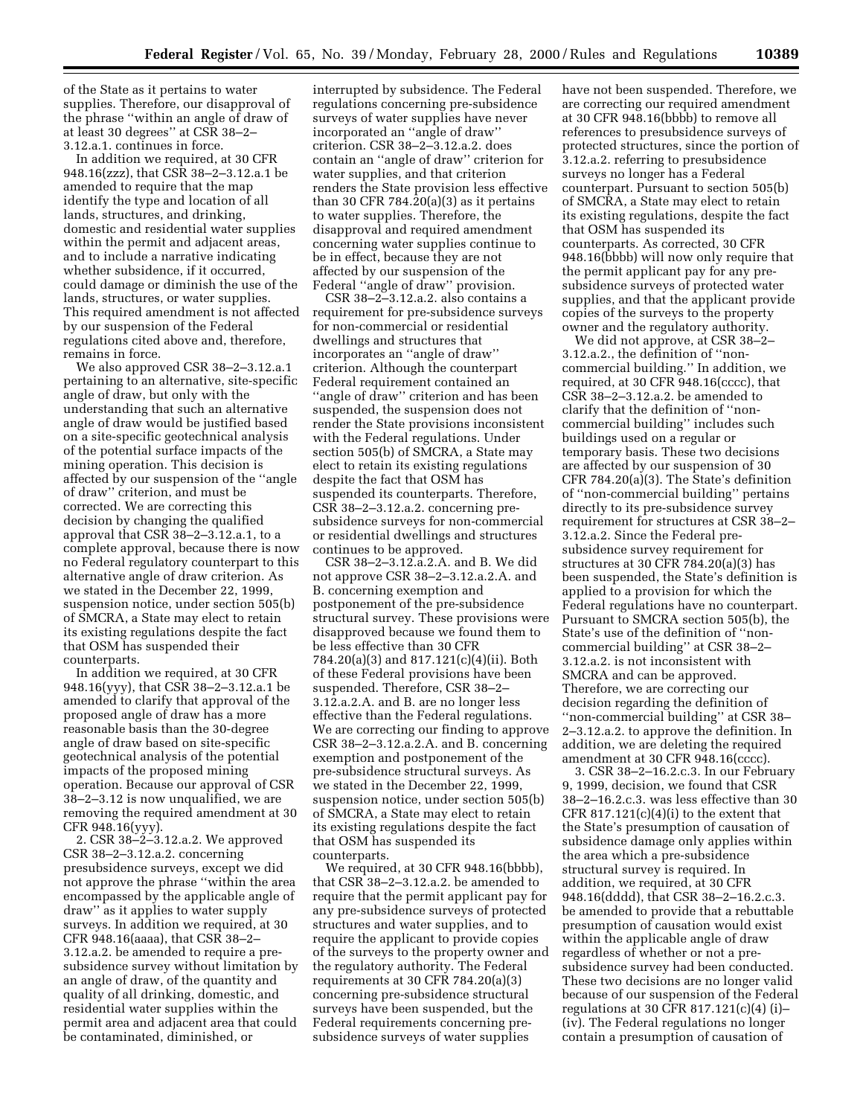of the State as it pertains to water supplies. Therefore, our disapproval of the phrase ''within an angle of draw of at least 30 degrees'' at CSR 38–2– 3.12.a.1. continues in force.

In addition we required, at 30 CFR 948.16(zzz), that CSR 38–2–3.12.a.1 be amended to require that the map identify the type and location of all lands, structures, and drinking, domestic and residential water supplies within the permit and adjacent areas, and to include a narrative indicating whether subsidence, if it occurred, could damage or diminish the use of the lands, structures, or water supplies. This required amendment is not affected by our suspension of the Federal regulations cited above and, therefore, remains in force.

We also approved CSR 38–2–3.12.a.1 pertaining to an alternative, site-specific angle of draw, but only with the understanding that such an alternative angle of draw would be justified based on a site-specific geotechnical analysis of the potential surface impacts of the mining operation. This decision is affected by our suspension of the ''angle of draw'' criterion, and must be corrected. We are correcting this decision by changing the qualified approval that CSR 38–2–3.12.a.1, to a complete approval, because there is now no Federal regulatory counterpart to this alternative angle of draw criterion. As we stated in the December 22, 1999, suspension notice, under section 505(b) of SMCRA, a State may elect to retain its existing regulations despite the fact that OSM has suspended their counterparts.

In addition we required, at 30 CFR 948.16(yyy), that CSR 38–2–3.12.a.1 be amended to clarify that approval of the proposed angle of draw has a more reasonable basis than the 30-degree angle of draw based on site-specific geotechnical analysis of the potential impacts of the proposed mining operation. Because our approval of CSR 38–2–3.12 is now unqualified, we are removing the required amendment at 30 CFR 948.16(yyy).

2. CSR 38–2–3.12.a.2. We approved CSR 38–2–3.12.a.2. concerning presubsidence surveys, except we did not approve the phrase ''within the area encompassed by the applicable angle of draw'' as it applies to water supply surveys. In addition we required, at 30 CFR 948.16(aaaa), that CSR 38–2– 3.12.a.2. be amended to require a presubsidence survey without limitation by an angle of draw, of the quantity and quality of all drinking, domestic, and residential water supplies within the permit area and adjacent area that could be contaminated, diminished, or

interrupted by subsidence. The Federal regulations concerning pre-subsidence surveys of water supplies have never incorporated an ''angle of draw'' criterion. CSR 38–2–3.12.a.2. does contain an ''angle of draw'' criterion for water supplies, and that criterion renders the State provision less effective than 30 CFR 784.20(a)(3) as it pertains to water supplies. Therefore, the disapproval and required amendment concerning water supplies continue to be in effect, because they are not affected by our suspension of the Federal ''angle of draw'' provision.

CSR 38–2–3.12.a.2. also contains a requirement for pre-subsidence surveys for non-commercial or residential dwellings and structures that incorporates an ''angle of draw'' criterion. Although the counterpart Federal requirement contained an ''angle of draw'' criterion and has been suspended, the suspension does not render the State provisions inconsistent with the Federal regulations. Under section 505(b) of SMCRA, a State may elect to retain its existing regulations despite the fact that OSM has suspended its counterparts. Therefore, CSR 38–2–3.12.a.2. concerning presubsidence surveys for non-commercial or residential dwellings and structures continues to be approved.

CSR 38–2–3.12.a.2.A. and B. We did not approve CSR 38–2–3.12.a.2.A. and B. concerning exemption and postponement of the pre-subsidence structural survey. These provisions were disapproved because we found them to be less effective than 30 CFR 784.20(a)(3) and 817.121(c)(4)(ii). Both of these Federal provisions have been suspended. Therefore, CSR 38–2– 3.12.a.2.A. and B. are no longer less effective than the Federal regulations. We are correcting our finding to approve CSR 38–2–3.12.a.2.A. and B. concerning exemption and postponement of the pre-subsidence structural surveys. As we stated in the December 22, 1999, suspension notice, under section 505(b) of SMCRA, a State may elect to retain its existing regulations despite the fact that OSM has suspended its counterparts.

We required, at 30 CFR 948.16(bbbb), that CSR 38–2–3.12.a.2. be amended to require that the permit applicant pay for any pre-subsidence surveys of protected structures and water supplies, and to require the applicant to provide copies of the surveys to the property owner and the regulatory authority. The Federal requirements at 30 CFR 784.20(a)(3) concerning pre-subsidence structural surveys have been suspended, but the Federal requirements concerning presubsidence surveys of water supplies

have not been suspended. Therefore, we are correcting our required amendment at 30 CFR 948.16(bbbb) to remove all references to presubsidence surveys of protected structures, since the portion of 3.12.a.2. referring to presubsidence surveys no longer has a Federal counterpart. Pursuant to section 505(b) of SMCRA, a State may elect to retain its existing regulations, despite the fact that OSM has suspended its counterparts. As corrected, 30 CFR 948.16(bbbb) will now only require that the permit applicant pay for any presubsidence surveys of protected water supplies, and that the applicant provide copies of the surveys to the property owner and the regulatory authority.

We did not approve, at CSR 38–2– 3.12.a.2., the definition of ''noncommercial building.'' In addition, we required, at 30 CFR 948.16(cccc), that CSR 38–2–3.12.a.2. be amended to clarify that the definition of ''noncommercial building'' includes such buildings used on a regular or temporary basis. These two decisions are affected by our suspension of 30 CFR 784.20(a)(3). The State's definition of ''non-commercial building'' pertains directly to its pre-subsidence survey requirement for structures at CSR 38–2– 3.12.a.2. Since the Federal presubsidence survey requirement for structures at 30 CFR 784.20(a)(3) has been suspended, the State's definition is applied to a provision for which the Federal regulations have no counterpart. Pursuant to SMCRA section 505(b), the State's use of the definition of ''noncommercial building'' at CSR 38–2– 3.12.a.2. is not inconsistent with SMCRA and can be approved. Therefore, we are correcting our decision regarding the definition of ''non-commercial building'' at CSR 38– 2–3.12.a.2. to approve the definition. In addition, we are deleting the required amendment at 30 CFR 948.16(cccc).

3. CSR 38–2–16.2.c.3. In our February 9, 1999, decision, we found that CSR 38–2–16.2.c.3. was less effective than 30 CFR  $817.121(c)(4)(i)$  to the extent that the State's presumption of causation of subsidence damage only applies within the area which a pre-subsidence structural survey is required. In addition, we required, at 30 CFR 948.16(dddd), that CSR 38–2–16.2.c.3. be amended to provide that a rebuttable presumption of causation would exist within the applicable angle of draw regardless of whether or not a presubsidence survey had been conducted. These two decisions are no longer valid because of our suspension of the Federal regulations at 30 CFR 817.121(c)(4) (i)– (iv). The Federal regulations no longer contain a presumption of causation of